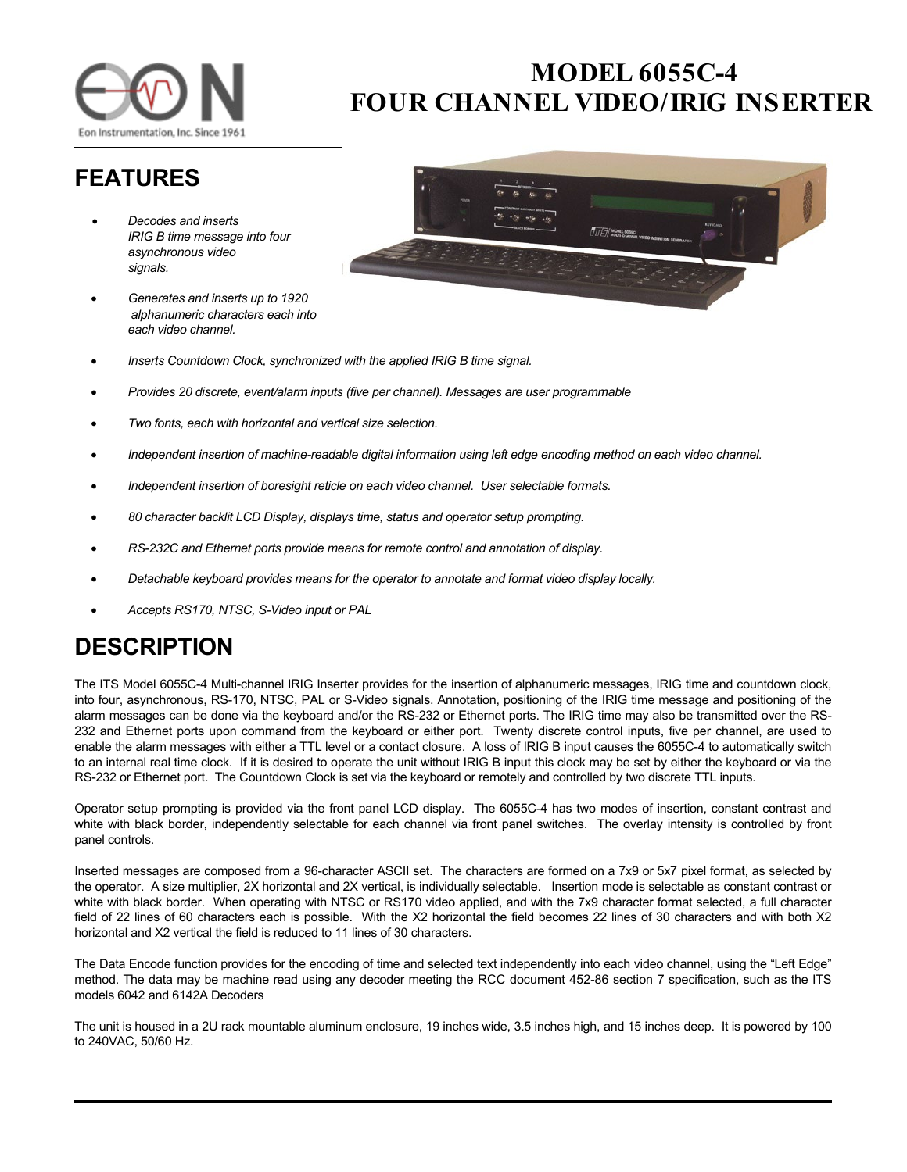

## **MODEL 6055C-4 FOUR CHANNEL VIDEO/ IRIG INSERTER**

## **FEATURES**

- *Decodes and inserts IRIG B time message into four asynchronous video signals.*
- *Generates and inserts up to 1920 alphanumeric characters each into each video channel.*



- *Inserts Countdown Clock, synchronized with the applied IRIG B time signal.*
- *Provides 20 discrete, event/alarm inputs (five per channel). Messages are user programmable*
- *Two fonts, each with horizontal and vertical size selection.*
- *Independent insertion of machine-readable digital information using left edge encoding method on each video channel.*
- *Independent insertion of boresight reticle on each video channel. User selectable formats.*
- *80 character backlit LCD Display, displays time, status and operator setup prompting.*
- *RS-232C and Ethernet ports provide means for remote control and annotation of display.*
- *Detachable keyboard provides means for the operator to annotate and format video display locally.*
- *Accepts RS170, NTSC, S-Video input or PAL*

## **DESCRIPTION**

The ITS Model 6055C-4 Multi-channel IRIG Inserter provides for the insertion of alphanumeric messages, IRIG time and countdown clock, into four, asynchronous, RS-170, NTSC, PAL or S-Video signals. Annotation, positioning of the IRIG time message and positioning of the alarm messages can be done via the keyboard and/or the RS-232 or Ethernet ports. The IRIG time may also be transmitted over the RS-232 and Ethernet ports upon command from the keyboard or either port. Twenty discrete control inputs, five per channel, are used to enable the alarm messages with either a TTL level or a contact closure. A loss of IRIG B input causes the 6055C-4 to automatically switch to an internal real time clock. If it is desired to operate the unit without IRIG B input this clock may be set by either the keyboard or via the RS-232 or Ethernet port. The Countdown Clock is set via the keyboard or remotely and controlled by two discrete TTL inputs.

Operator setup prompting is provided via the front panel LCD display. The 6055C-4 has two modes of insertion, constant contrast and white with black border, independently selectable for each channel via front panel switches. The overlay intensity is controlled by front panel controls.

Inserted messages are composed from a 96-character ASCII set. The characters are formed on a 7x9 or 5x7 pixel format, as selected by the operator. A size multiplier, 2X horizontal and 2X vertical, is individually selectable. Insertion mode is selectable as constant contrast or white with black border. When operating with NTSC or RS170 video applied, and with the 7x9 character format selected, a full character field of 22 lines of 60 characters each is possible. With the X2 horizontal the field becomes 22 lines of 30 characters and with both X2 horizontal and X2 vertical the field is reduced to 11 lines of 30 characters.

The Data Encode function provides for the encoding of time and selected text independently into each video channel, using the "Left Edge" method. The data may be machine read using any decoder meeting the RCC document 452-86 section 7 specification, such as the ITS models 6042 and 6142A Decoders

The unit is housed in a 2U rack mountable aluminum enclosure, 19 inches wide, 3.5 inches high, and 15 inches deep. It is powered by 100 to 240VAC, 50/60 Hz.